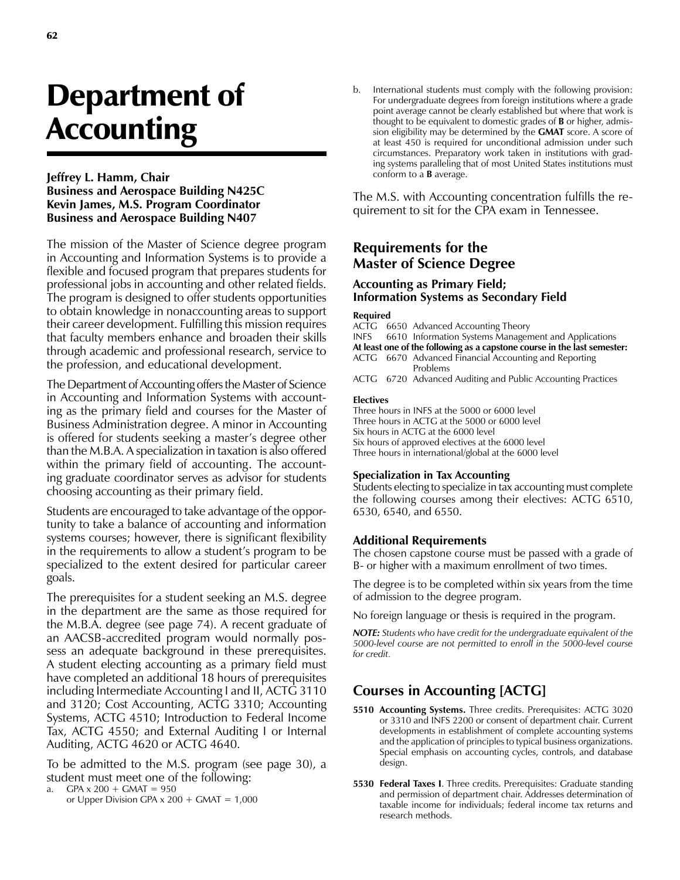# Department of **Accounting**

## **Jeffrey L. Hamm, Chair Business and Aerospace Building N425C Kevin James, M.S. Program Coordinator Business and Aerospace Building N407**

The mission of the Master of Science degree program in Accounting and Information Systems is to provide a flexible and focused program that prepares students for professional jobs in accounting and other related fields. The program is designed to offer students opportunities to obtain knowledge in nonaccounting areas to support their career development. Fulfilling this mission requires that faculty members enhance and broaden their skills through academic and professional research, service to the profession, and educational development.

The Department of Accounting offers the Master of Science in Accounting and Information Systems with accounting as the primary field and courses for the Master of Business Administration degree. A minor in Accounting is offered for students seeking a master's degree other than the M.B.A. A specialization in taxation is also offered within the primary field of accounting. The accounting graduate coordinator serves as advisor for students choosing accounting as their primary field.

Students are encouraged to take advantage of the opportunity to take a balance of accounting and information systems courses; however, there is significant flexibility in the requirements to allow a student's program to be specialized to the extent desired for particular career goals.

The prerequisites for a student seeking an M.S. degree in the department are the same as those required for the M.B.A. degree (see page 74). A recent graduate of an AACSB-accredited program would normally possess an adequate background in these prerequisites. A student electing accounting as a primary field must have completed an additional 18 hours of prerequisites including Intermediate Accounting I and II, ACTG 3110 and 3120; Cost Accounting, ACTG 3310; Accounting Systems, ACTG 4510; Introduction to Federal Income Tax, ACTG 4550; and External Auditing I or Internal Auditing, ACTG 4620 or ACTG 4640.

To be admitted to the M.S. program (see page 30), a student must meet one of the following:

- a. GPA  $x 200 + G$ MAT = 950
	- or Upper Division GPA  $x$  200 + GMAT = 1,000

b. International students must comply with the following provision: For undergraduate degrees from foreign institutions where a grade point average cannot be clearly established but where that work is thought to be equivalent to domestic grades of **B** or higher, admission eligibility may be determined by the **GMAT** score. A score of at least 450 is required for unconditional admission under such circumstances. Preparatory work taken in institutions with grading systems paralleling that of most United States institutions must conform to a **B** average.

The M.S. with Accounting concentration fulfills the requirement to sit for the CPA exam in Tennessee.

## **Requirements for the Master of Science Degree**

## **Accounting as Primary Field; Information Systems as Secondary Field**

#### **Required**

ACTG 6650 Advanced Accounting Theory

INFS 6610 Information Systems Management and Applications

**At least one of the following as a capstone course in the last semester:** ACTG 6670 Advanced Financial Accounting and Reporting

 Problems ACTG 6720 Advanced Auditing and Public Accounting Practices

#### **Electives**

Three hours in INFS at the 5000 or 6000 level Three hours in ACTG at the 5000 or 6000 level Six hours in ACTG at the 6000 level Six hours of approved electives at the 6000 level Three hours in international/global at the 6000 level

#### **Specialization in Tax Accounting**

Students electing to specialize in tax accounting must complete the following courses among their electives: ACTG 6510, 6530, 6540, and 6550.

### **Additional Requirements**

The chosen capstone course must be passed with a grade of B- or higher with a maximum enrollment of two times.

The degree is to be completed within six years from the time of admission to the degree program.

No foreign language or thesis is required in the program.

*NOTE: Students who have credit for the undergraduate equivalent of the 5000-level course are not permitted to enroll in the 5000-level course for credit.*

# **Courses in Accounting [ACTG]**

- **5510 Accounting Systems.** Three credits. Prerequisites: ACTG 3020 or 3310 and INFS 2200 or consent of department chair. Current developments in establishment of complete accounting systems and the application of principles to typical business organizations. Special emphasis on accounting cycles, controls, and database design.
- **5530 Federal Taxes I**. Three credits. Prerequisites: Graduate standing and permission of department chair. Addresses determination of taxable income for individuals; federal income tax returns and research methods.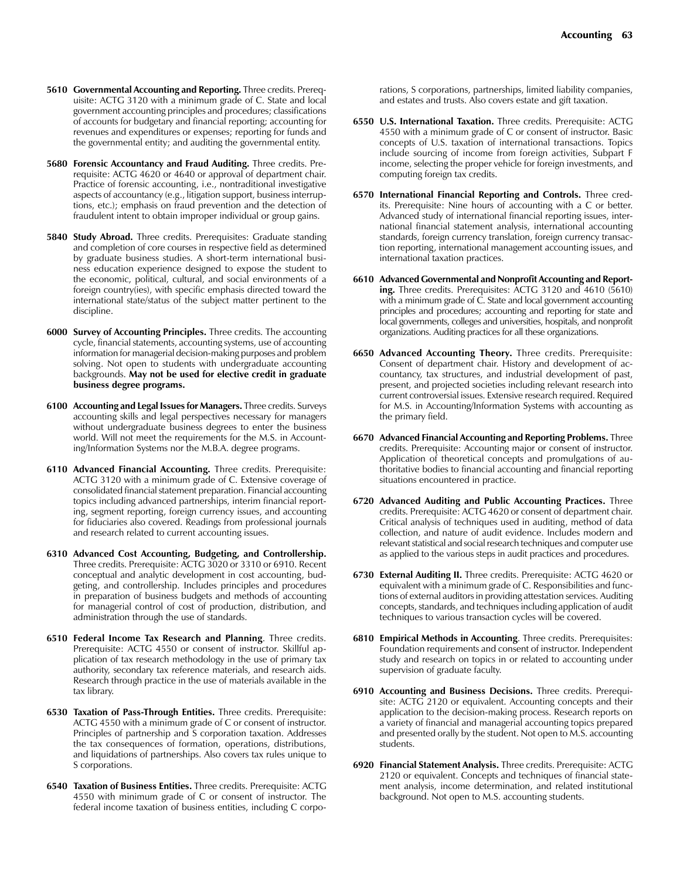- **5610 Governmental Accounting and Reporting.** Three credits. Prerequisite: ACTG 3120 with a minimum grade of C. State and local government accounting principles and procedures; classifications of accounts for budgetary and financial reporting; accounting for revenues and expenditures or expenses; reporting for funds and the governmental entity; and auditing the governmental entity.
- **5680 Forensic Accountancy and Fraud Auditing.** Three credits. Prerequisite: ACTG 4620 or 4640 or approval of department chair. Practice of forensic accounting, i.e., nontraditional investigative aspects of accountancy (e.g., litigation support, business interruptions, etc.); emphasis on fraud prevention and the detection of fraudulent intent to obtain improper individual or group gains.
- **5840 Study Abroad.** Three credits. Prerequisites: Graduate standing and completion of core courses in respective field as determined by graduate business studies. A short-term international business education experience designed to expose the student to the economic, political, cultural, and social environments of a foreign country(ies), with specific emphasis directed toward the international state/status of the subject matter pertinent to the discipline.
- **6000 Survey of Accounting Principles.** Three credits. The accounting cycle, financial statements, accounting systems, use of accounting information for managerial decision-making purposes and problem solving. Not open to students with undergraduate accounting backgrounds. **May not be used for elective credit in graduate business degree programs.**
- **6100 Accounting and Legal Issues for Managers.** Three credits. Surveys accounting skills and legal perspectives necessary for managers without undergraduate business degrees to enter the business world. Will not meet the requirements for the M.S. in Accounting/Information Systems nor the M.B.A. degree programs.
- **6110 Advanced Financial Accounting.** Three credits. Prerequisite: ACTG 3120 with a minimum grade of C. Extensive coverage of consolidated financial statement preparation. Financial accounting topics including advanced partnerships, interim financial reporting, segment reporting, foreign currency issues, and accounting for fiduciaries also covered. Readings from professional journals and research related to current accounting issues.
- **6310 Advanced Cost Accounting, Budgeting, and Controllership.**  Three credits. Prerequisite: ACTG 3020 or 3310 or 6910. Recent conceptual and analytic development in cost accounting, budgeting, and controllership. Includes principles and procedures in preparation of business budgets and methods of accounting for managerial control of cost of production, distribution, and administration through the use of standards.
- **6510 Federal Income Tax Research and Planning**. Three credits. Prerequisite: ACTG 4550 or consent of instructor. Skillful application of tax research methodology in the use of primary tax authority, secondary tax reference materials, and research aids. Research through practice in the use of materials available in the tax library.
- **6530 Taxation of Pass-Through Entities.** Three credits. Prerequisite: ACTG 4550 with a minimum grade of C or consent of instructor. Principles of partnership and S corporation taxation. Addresses the tax consequences of formation, operations, distributions, and liquidations of partnerships. Also covers tax rules unique to S corporations.
- **6540 Taxation of Business Entities.** Three credits. Prerequisite: ACTG 4550 with minimum grade of C or consent of instructor. The federal income taxation of business entities, including C corpo-

rations, S corporations, partnerships, limited liability companies, and estates and trusts. Also covers estate and gift taxation.

- **6550 U.S. International Taxation.** Three credits. Prerequisite: ACTG 4550 with a minimum grade of C or consent of instructor. Basic concepts of U.S. taxation of international transactions. Topics include sourcing of income from foreign activities, Subpart F income, selecting the proper vehicle for foreign investments, and computing foreign tax credits.
- **6570 International Financial Reporting and Controls.** Three credits. Prerequisite: Nine hours of accounting with a C or better. Advanced study of international financial reporting issues, international financial statement analysis, international accounting standards, foreign currency translation, foreign currency transaction reporting, international management accounting issues, and international taxation practices.
- **6610 Advanced Governmental and Nonprofit Accounting and Reporting.** Three credits. Prerequisites: ACTG 3120 and 4610 (5610) with a minimum grade of C. State and local government accounting principles and procedures; accounting and reporting for state and local governments, colleges and universities, hospitals, and nonprofit organizations. Auditing practices for all these organizations.
- **6650 Advanced Accounting Theory.** Three credits. Prerequisite: Consent of department chair. History and development of accountancy, tax structures, and industrial development of past, present, and projected societies including relevant research into current controversial issues. Extensive research required. Required for M.S. in Accounting/Information Systems with accounting as the primary field.
- **6670 Advanced Financial Accounting and Reporting Problems.** Three credits. Prerequisite: Accounting major or consent of instructor. Application of theoretical concepts and promulgations of authoritative bodies to financial accounting and financial reporting situations encountered in practice.
- **6720 Advanced Auditing and Public Accounting Practices.** Three credits. Prerequisite: ACTG 4620 or consent of department chair. Critical analysis of techniques used in auditing, method of data collection, and nature of audit evidence. Includes modern and relevant statistical and social research techniques and computer use as applied to the various steps in audit practices and procedures.
- **6730 External Auditing II.** Three credits. Prerequisite: ACTG 4620 or equivalent with a minimum grade of C. Responsibilities and functions of external auditors in providing attestation services. Auditing concepts, standards, and techniques including application of audit techniques to various transaction cycles will be covered.
- **6810 Empirical Methods in Accounting**. Three credits. Prerequisites: Foundation requirements and consent of instructor. Independent study and research on topics in or related to accounting under supervision of graduate faculty.
- **6910 Accounting and Business Decisions.** Three credits. Prerequisite: ACTG 2120 or equivalent. Accounting concepts and their application to the decision-making process. Research reports on a variety of financial and managerial accounting topics prepared and presented orally by the student. Not open to M.S. accounting students.
- **6920 Financial Statement Analysis.** Three credits. Prerequisite: ACTG 2120 or equivalent. Concepts and techniques of financial statement analysis, income determination, and related institutional background. Not open to M.S. accounting students.